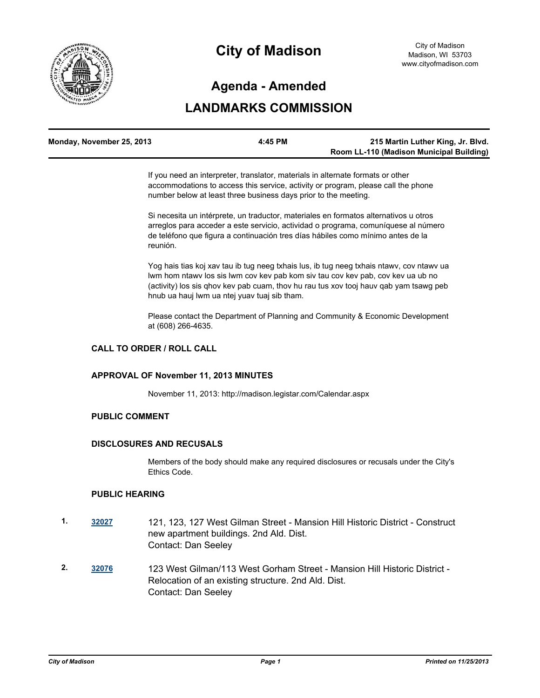

# **City of Madison**

# **Agenda - Amended**

# **LANDMARKS COMMISSION**

| Monday, November 25, 2013 | 4:45 PM | 215 Martin Luther King, Jr. Blvd.        |
|---------------------------|---------|------------------------------------------|
|                           |         | Room LL-110 (Madison Municipal Building) |

If you need an interpreter, translator, materials in alternate formats or other accommodations to access this service, activity or program, please call the phone number below at least three business days prior to the meeting.

Si necesita un intérprete, un traductor, materiales en formatos alternativos u otros arreglos para acceder a este servicio, actividad o programa, comuníquese al número de teléfono que figura a continuación tres días hábiles como mínimo antes de la reunión.

Yog hais tias koj xav tau ib tug neeg txhais lus, ib tug neeg txhais ntawv, cov ntawv ua lwm hom ntawv los sis lwm cov kev pab kom siv tau cov kev pab, cov kev ua ub no (activity) los sis qhov kev pab cuam, thov hu rau tus xov tooj hauv qab yam tsawg peb hnub ua hauj lwm ua ntej yuav tuaj sib tham.

Please contact the Department of Planning and Community & Economic Development at (608) 266-4635.

# **CALL TO ORDER / ROLL CALL**

#### **APPROVAL OF November 11, 2013 MINUTES**

November 11, 2013: http://madison.legistar.com/Calendar.aspx

#### **PUBLIC COMMENT**

#### **DISCLOSURES AND RECUSALS**

Members of the body should make any required disclosures or recusals under the City's Ethics Code.

#### **PUBLIC HEARING**

- **1. [32027](http://madison.legistar.com/gateway.aspx?m=l&id=/matter.aspx?key=35036)** 121, 123, 127 West Gilman Street Mansion Hill Historic District Construct new apartment buildings. 2nd Ald. Dist. Contact: Dan Seeley
- **2. [32076](http://madison.legistar.com/gateway.aspx?m=l&id=/matter.aspx?key=35089)** 123 West Gilman/113 West Gorham Street Mansion Hill Historic District Relocation of an existing structure. 2nd Ald. Dist. Contact: Dan Seeley